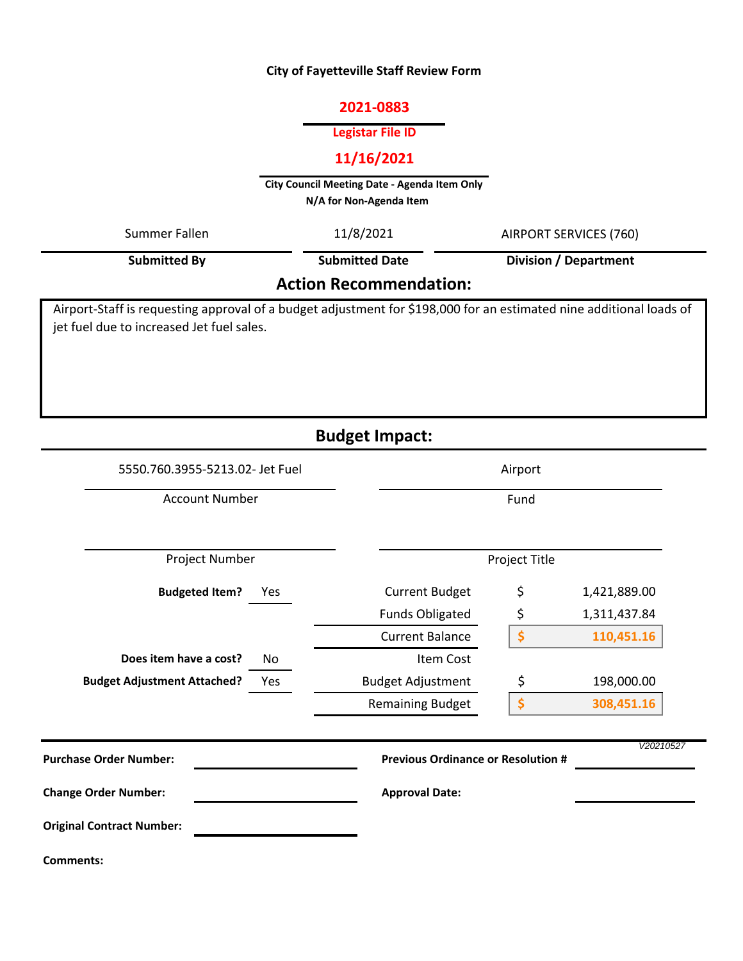## **City of Fayetteville Staff Review Form**

#### **2021-0883**

### **Legistar File ID**

## **11/16/2021**

**City Council Meeting Date - Agenda Item Only N/A for Non-Agenda Item** 

| Summer Fallen                             | 11/8/2021                     | AIRPORT SERVICES (760)<br><b>Division / Department</b>                                                              |  |
|-------------------------------------------|-------------------------------|---------------------------------------------------------------------------------------------------------------------|--|
| <b>Submitted By</b>                       | <b>Submitted Date</b>         |                                                                                                                     |  |
|                                           | <b>Action Recommendation:</b> |                                                                                                                     |  |
| jet fuel due to increased Jet fuel sales. |                               | Airport-Staff is requesting approval of a budget adjustment for \$198,000 for an estimated nine additional loads of |  |

# **Budget Impact:**

| 5550.760.3955-5213.02- Jet Fuel           |                                           | Airport       |              |  |
|-------------------------------------------|-------------------------------------------|---------------|--------------|--|
| <b>Account Number</b>                     |                                           | Fund          |              |  |
| Project Number                            |                                           | Project Title |              |  |
| <b>Budgeted Item?</b><br>Yes              | <b>Current Budget</b>                     | \$            | 1,421,889.00 |  |
|                                           | <b>Funds Obligated</b>                    | \$            | 1,311,437.84 |  |
|                                           | <b>Current Balance</b>                    | \$            | 110,451.16   |  |
| Does item have a cost?<br>No              | Item Cost                                 |               |              |  |
| <b>Budget Adjustment Attached?</b><br>Yes | <b>Budget Adjustment</b>                  | \$            | 198,000.00   |  |
|                                           | <b>Remaining Budget</b>                   | \$            | 308,451.16   |  |
| <b>Purchase Order Number:</b>             | <b>Previous Ordinance or Resolution #</b> |               | V20210527    |  |
| <b>Change Order Number:</b>               | <b>Approval Date:</b>                     |               |              |  |
| <b>Original Contract Number:</b>          |                                           |               |              |  |
| Comments:                                 |                                           |               |              |  |